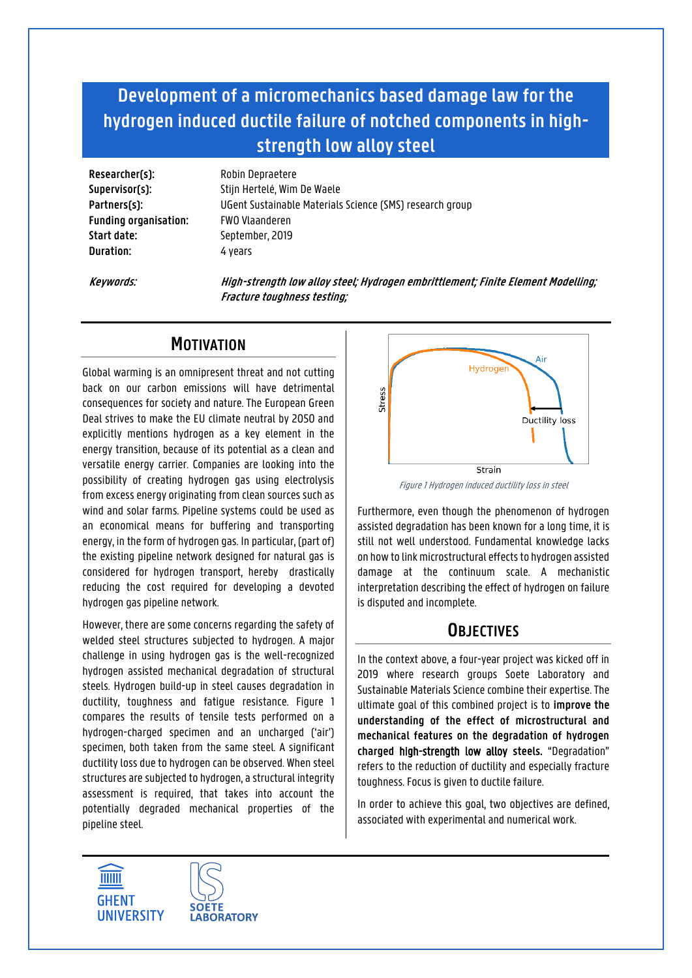# **Development of a micromechanics based damage law for the hydrogen induced ductile failure of notched components in highstrength low alloy steel**

**Researcher(s):** Robin Depraetere **Funding organisation:** FWO Vlaanderen **Start date:** September, 2019 **Duration:** 4 years

**Supervisor(s):** Stijn Hertelé, Wim De Waele **Partners(s):** UGent Sustainable Materials Science (SMS) research group

**Keywords: High-strength low alloy steel; Hydrogen embrittlement; Finite Element Modelling; Fracture toughness testing;**

## **MOTIVATION**

Global warming is an omnipresent threat and not cutting back on our carbon emissions will have detrimental consequences for society and nature. The European Green Deal strives to make the EU climate neutral by 2050 and explicitly mentions hydrogen as a key element in the energy transition, because of its potential as a clean and versatile energy carrier. Companies are looking into the possibility of creating hydrogen gas using electrolysis from excess energy originating from clean sources such as wind and solar farms. Pipeline systems could be used as an economical means for buffering and transporting energy, in the form of hydrogen gas. In particular, (part of) the existing pipeline network designed for natural gas is considered for hydrogen transport, hereby drastically reducing the cost required for developing a devoted hydrogen gas pipeline network.

However, there are some concerns regarding the safety of welded steel structures subjected to hydrogen. A major challenge in using hydrogen gas is the well-recognized hydrogen assisted mechanical degradation of structural steels. Hydrogen build-up in steel causes degradation in ductility, toughness and fatigue resistance. [Figure 1](#page-0-0) compares the results of tensile tests performed on a hydrogen-charged specimen and an uncharged ('air') specimen, both taken from the same steel. A significant ductility loss due to hydrogen can be observed. When steel structures are subjected to hydrogen, a structural integrity assessment is required, that takes into account the potentially degraded mechanical properties of the pipeline steel.



Figure 1 Hydrogen induced ductility loss in steel

<span id="page-0-0"></span>Furthermore, even though the phenomenon of hydrogen assisted degradation has been known for a long time, it is still not well understood. Fundamental knowledge lacks on how to link microstructural effects to hydrogen assisted damage at the continuum scale. A mechanistic interpretation describing the effect of hydrogen on failure is disputed and incomplete.

### **OBJECTIVES**

In the context above, a four-year project was kicked off in 2019 where research groups Soete Laboratory and Sustainable Materials Science combine their expertise. The ultimate goal of this combined project is to **improve the understanding of the effect of microstructural and mechanical features on the degradation of hydrogen charged** high-strength low alloy **steels.** "Degradation" refers to the reduction of ductility and especially fracture toughness. Focus is given to ductile failure.

In order to achieve this goal, two objectives are defined, associated with experimental and numerical work.